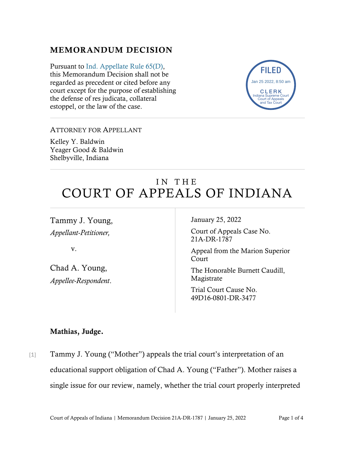## MEMORANDUM DECISION

Pursuant to [Ind. Appellate Rule 65\(D\),](https://www.westlaw.com/Document/N9F7F97E10B2B11EAB3BAC09E1BEAB78F/View/FullText.html?transitionType=Default&contextData=(sc.Default)&VR=3.0&RS=da3.0) this Memorandum Decision shall not be regarded as precedent or cited before any court except for the purpose of establishing the defense of res judicata, collateral estoppel, or the law of the case.



#### ATTORNEY FOR APPELLANT

Kelley Y. Baldwin Yeager Good & Baldwin Shelbyville, Indiana

# IN THE COURT OF APPEALS OF INDIANA

Tammy J. Young, *Appellant-Petitioner,*

v.

Chad A. Young, *Appellee-Respondent*. January 25, 2022

Court of Appeals Case No. 21A-DR-1787

Appeal from the Marion Superior Court

The Honorable Burnett Caudill, Magistrate

Trial Court Cause No. 49D16-0801-DR-3477

### Mathias, Judge.

[1] Tammy J. Young ("Mother") appeals the trial court's interpretation of an educational support obligation of Chad A. Young ("Father"). Mother raises a single issue for our review, namely, whether the trial court properly interpreted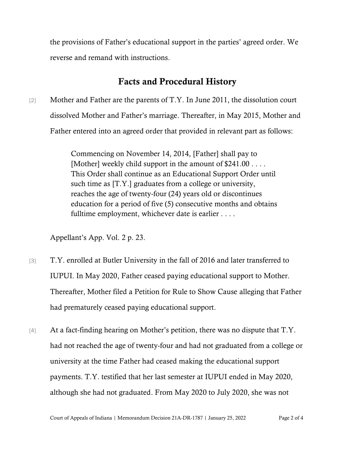the provisions of Father's educational support in the parties' agreed order. We reverse and remand with instructions.

## Facts and Procedural History

[2] Mother and Father are the parents of T.Y. In June 2011, the dissolution court dissolved Mother and Father's marriage. Thereafter, in May 2015, Mother and Father entered into an agreed order that provided in relevant part as follows:

> Commencing on November 14, 2014, [Father] shall pay to [Mother] weekly child support in the amount of \$241.00 . . . . This Order shall continue as an Educational Support Order until such time as [T.Y.] graduates from a college or university, reaches the age of twenty-four (24) years old or discontinues education for a period of five (5) consecutive months and obtains fulltime employment, whichever date is earlier . . . .

Appellant's App. Vol. 2 p. 23.

- [3] T.Y. enrolled at Butler University in the fall of 2016 and later transferred to IUPUI. In May 2020, Father ceased paying educational support to Mother. Thereafter, Mother filed a Petition for Rule to Show Cause alleging that Father had prematurely ceased paying educational support.
- [4] At a fact-finding hearing on Mother's petition, there was no dispute that T.Y. had not reached the age of twenty-four and had not graduated from a college or university at the time Father had ceased making the educational support payments. T.Y. testified that her last semester at IUPUI ended in May 2020, although she had not graduated. From May 2020 to July 2020, she was not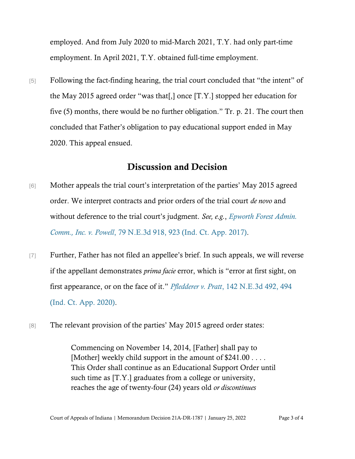employed. And from July 2020 to mid-March 2021, T.Y. had only part-time employment. In April 2021, T.Y. obtained full-time employment.

[5] Following the fact-finding hearing, the trial court concluded that "the intent" of the May 2015 agreed order "was that[,] once [T.Y.] stopped her education for five (5) months, there would be no further obligation." Tr. p. 21. The court then concluded that Father's obligation to pay educational support ended in May 2020. This appeal ensued.

## Discussion and Decision

- [6] Mother appeals the trial court's interpretation of the parties' May 2015 agreed order. We interpret contracts and prior orders of the trial court *de novo* and without deference to the trial court's judgment. *See, e.g.*, *[Epworth Forest Admin.](https://www.westlaw.com/Document/I522ca520509b11e79657885de1b1150a/View/FullText.html?transitionType=Default&contextData=(sc.Default)&VR=3.0&RS=da3.0&fragmentIdentifier=co_pp_sp_7902_923)  [Comm., Inc. v. Powell](https://www.westlaw.com/Document/I522ca520509b11e79657885de1b1150a/View/FullText.html?transitionType=Default&contextData=(sc.Default)&VR=3.0&RS=da3.0&fragmentIdentifier=co_pp_sp_7902_923)*[, 79 N.E.3d 918, 923 \(Ind. Ct. App. 2017\).](https://www.westlaw.com/Document/I522ca520509b11e79657885de1b1150a/View/FullText.html?transitionType=Default&contextData=(sc.Default)&VR=3.0&RS=da3.0&fragmentIdentifier=co_pp_sp_7902_923)
- [7] Further, Father has not filed an appellee's brief. In such appeals, we will reverse if the appellant demonstrates *prima facie* error, which is "error at first sight, on first appearance, or on the face of it." *Pfledderer v. Pratt*[, 142 N.E.3d 492, 494](https://www.westlaw.com/Document/I44f7e000542511eaa8888aec622028f5/View/FullText.html?transitionType=Default&contextData=(sc.Default)&VR=3.0&RS=da3.0&fragmentIdentifier=co_pp_sp_7902_494)  [\(Ind. Ct. App. 2020\).](https://www.westlaw.com/Document/I44f7e000542511eaa8888aec622028f5/View/FullText.html?transitionType=Default&contextData=(sc.Default)&VR=3.0&RS=da3.0&fragmentIdentifier=co_pp_sp_7902_494)
- [8] The relevant provision of the parties' May 2015 agreed order states:

Commencing on November 14, 2014, [Father] shall pay to [Mother] weekly child support in the amount of \$241.00 . . . . This Order shall continue as an Educational Support Order until such time as [T.Y.] graduates from a college or university, reaches the age of twenty-four (24) years old *or discontinues*